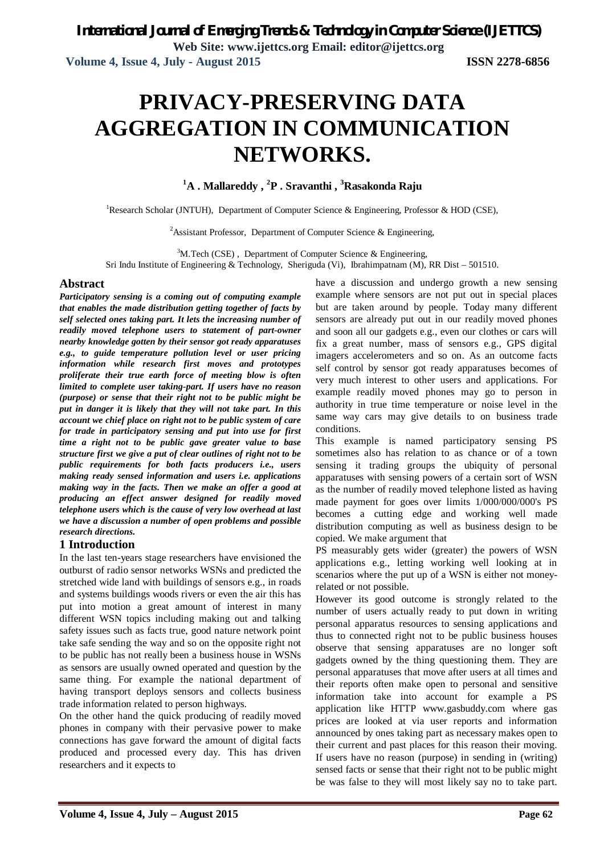**Web Site: www.ijettcs.org Email: editor@ijettcs.org Volume 4, Issue 4, July - August 2015 ISSN 2278-6856**

# **PRIVACY-PRESERVING DATA AGGREGATION IN COMMUNICATION NETWORKS.**

### **<sup>1</sup>A . Mallareddy , <sup>2</sup>P . Sravanthi , <sup>3</sup>Rasakonda Raju**

<sup>1</sup>Research Scholar (JNTUH), Department of Computer Science & Engineering, Professor & HOD (CSE),

<sup>2</sup>Assistant Professor, Department of Computer Science  $\&$  Engineering,

 $3<sup>3</sup>M$ .Tech (CSE), Department of Computer Science & Engineering,

Sri Indu Institute of Engineering & Technology, Sheriguda (Vi), Ibrahimpatnam (M), RR Dist – 501510.

#### **Abstract**

*Participatory sensing is a coming out of computing example that enables the made distribution getting together of facts by self selected ones taking part. It lets the increasing number of readily moved telephone users to statement of part-owner nearby knowledge gotten by their sensor got ready apparatuses e.g., to guide temperature pollution level or user pricing information while research first moves and prototypes proliferate their true earth force of meeting blow is often limited to complete user taking-part. If users have no reason (purpose) or sense that their right not to be public might be put in danger it is likely that they will not take part. In this account we chief place on right not to be public system of care for trade in participatory sensing and put into use for first time a right not to be public gave greater value to base structure first we give a put of clear outlines of right not to be public requirements for both facts producers i.e., users making ready sensed information and users i.e. applications making way in the facts. Then we make an offer a good at producing an effect answer designed for readily moved telephone users which is the cause of very low overhead at last we have a discussion a number of open problems and possible research directions.*

#### **1 Introduction**

In the last ten-years stage researchers have envisioned the outburst of radio sensor networks WSNs and predicted the stretched wide land with buildings of sensors e.g., in roads and systems buildings woods rivers or even the air this has put into motion a great amount of interest in many different WSN topics including making out and talking safety issues such as facts true, good nature network point take safe sending the way and so on the opposite right not to be public has not really been a business house in WSNs as sensors are usually owned operated and question by the same thing. For example the national department of having transport deploys sensors and collects business trade information related to person highways.

On the other hand the quick producing of readily moved phones in company with their pervasive power to make connections has gave forward the amount of digital facts produced and processed every day. This has driven researchers and it expects to

have a discussion and undergo growth a new sensing example where sensors are not put out in special places but are taken around by people. Today many different sensors are already put out in our readily moved phones and soon all our gadgets e.g., even our clothes or cars will fix a great number, mass of sensors e.g., GPS digital imagers accelerometers and so on. As an outcome facts self control by sensor got ready apparatuses becomes of very much interest to other users and applications. For example readily moved phones may go to person in authority in true time temperature or noise level in the same way cars may give details to on business trade conditions.

This example is named participatory sensing PS sometimes also has relation to as chance or of a town sensing it trading groups the ubiquity of personal apparatuses with sensing powers of a certain sort of WSN as the number of readily moved telephone listed as having made payment for goes over limits 1/000/000/000's PS becomes a cutting edge and working well made distribution computing as well as business design to be copied. We make argument that

PS measurably gets wider (greater) the powers of WSN applications e.g., letting working well looking at in scenarios where the put up of a WSN is either not moneyrelated or not possible.

However its good outcome is strongly related to the number of users actually ready to put down in writing personal apparatus resources to sensing applications and thus to connected right not to be public business houses observe that sensing apparatuses are no longer soft gadgets owned by the thing questioning them. They are personal apparatuses that move after users at all times and their reports often make open to personal and sensitive information take into account for example a PS application like HTTP www.gasbuddy.com where gas prices are looked at via user reports and information announced by ones taking part as necessary makes open to their current and past places for this reason their moving. If users have no reason (purpose) in sending in (writing) sensed facts or sense that their right not to be public might be was false to they will most likely say no to take part.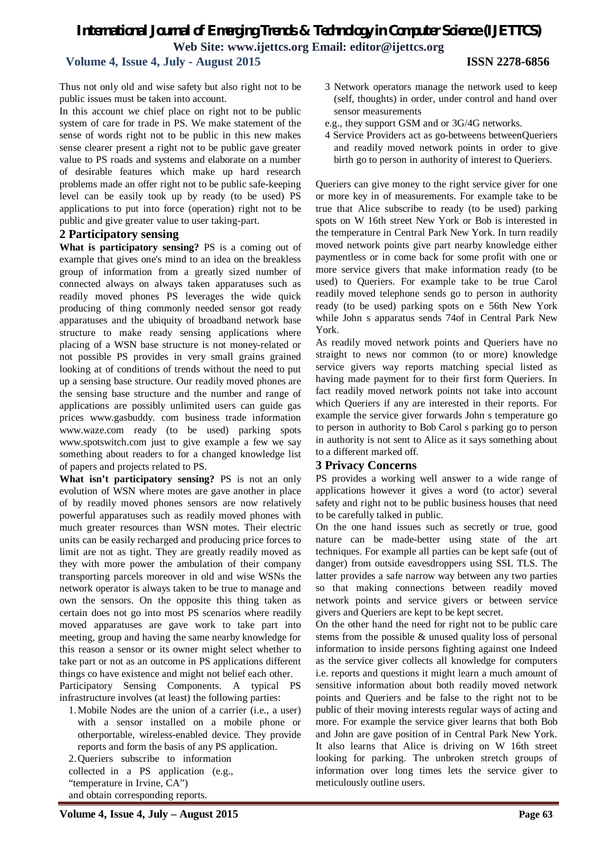**Volume 4, Issue 4, July - August 2015 ISSN 2278-6856**

Thus not only old and wise safety but also right not to be public issues must be taken into account.

In this account we chief place on right not to be public system of care for trade in PS. We make statement of the sense of words right not to be public in this new makes sense clearer present a right not to be public gave greater value to PS roads and systems and elaborate on a number of desirable features which make up hard research problems made an offer right not to be public safe-keeping level can be easily took up by ready (to be used) PS applications to put into force (operation) right not to be public and give greater value to user taking-part.

#### **2 Participatory sensing**

**What is participatory sensing?** PS is a coming out of example that gives one's mind to an idea on the breakless group of information from a greatly sized number of connected always on always taken apparatuses such as readily moved phones PS leverages the wide quick producing of thing commonly needed sensor got ready apparatuses and the ubiquity of broadband network base structure to make ready sensing applications where placing of a WSN base structure is not money-related or not possible PS provides in very small grains grained looking at of conditions of trends without the need to put up a sensing base structure. Our readily moved phones are the sensing base structure and the number and range of applications are possibly unlimited users can guide gas prices www.gasbuddy. com business trade information www.waze.com ready (to be used) parking spots www.spotswitch.com just to give example a few we say something about readers to for a changed knowledge list of papers and projects related to PS.

**What isn't participatory sensing?** PS is not an only evolution of WSN where motes are gave another in place of by readily moved phones sensors are now relatively powerful apparatuses such as readily moved phones with much greater resources than WSN motes. Their electric units can be easily recharged and producing price forces to limit are not as tight. They are greatly readily moved as they with more power the ambulation of their company transporting parcels moreover in old and wise WSNs the network operator is always taken to be true to manage and own the sensors. On the opposite this thing taken as certain does not go into most PS scenarios where readily moved apparatuses are gave work to take part into meeting, group and having the same nearby knowledge for this reason a sensor or its owner might select whether to take part or not as an outcome in PS applications different things co have existence and might not belief each other. Participatory Sensing Components. A typical PS infrastructure involves (at least) the following parties:

1.Mobile Nodes are the union of a carrier (i.e., a user) with a sensor installed on a mobile phone or otherportable, wireless-enabled device. They provide reports and form the basis of any PS application.

2.Queriers subscribe to information collected in a PS application (e.g., "temperature in Irvine, CA") and obtain corresponding reports.

- 3 Network operators manage the network used to keep (self, thoughts) in order, under control and hand over sensor measurements
- e.g., they support GSM and or 3G/4G networks.
- 4 Service Providers act as go-betweens betweenQueriers and readily moved network points in order to give birth go to person in authority of interest to Queriers.

Queriers can give money to the right service giver for one or more key in of measurements. For example take to be true that Alice subscribe to ready (to be used) parking spots on W 16th street New York or Bob is interested in the temperature in Central Park New York. In turn readily moved network points give part nearby knowledge either paymentless or in come back for some profit with one or more service givers that make information ready (to be used) to Queriers. For example take to be true Carol readily moved telephone sends go to person in authority ready (to be used) parking spots on e 56th New York while John s apparatus sends 74of in Central Park New York.

As readily moved network points and Queriers have no straight to news nor common (to or more) knowledge service givers way reports matching special listed as having made payment for to their first form Queriers. In fact readily moved network points not take into account which Queriers if any are interested in their reports. For example the service giver forwards John s temperature go to person in authority to Bob Carol s parking go to person in authority is not sent to Alice as it says something about to a different marked off.

#### **3 Privacy Concerns**

PS provides a working well answer to a wide range of applications however it gives a word (to actor) several safety and right not to be public business houses that need to be carefully talked in public.

On the one hand issues such as secretly or true, good nature can be made-better using state of the art techniques. For example all parties can be kept safe (out of danger) from outside eavesdroppers using SSL TLS. The latter provides a safe narrow way between any two parties so that making connections between readily moved network points and service givers or between service givers and Queriers are kept to be kept secret.

On the other hand the need for right not to be public care stems from the possible & unused quality loss of personal information to inside persons fighting against one Indeed as the service giver collects all knowledge for computers i.e. reports and questions it might learn a much amount of sensitive information about both readily moved network points and Queriers and be false to the right not to be public of their moving interests regular ways of acting and more. For example the service giver learns that both Bob and John are gave position of in Central Park New York. It also learns that Alice is driving on W 16th street looking for parking. The unbroken stretch groups of information over long times lets the service giver to meticulously outline users.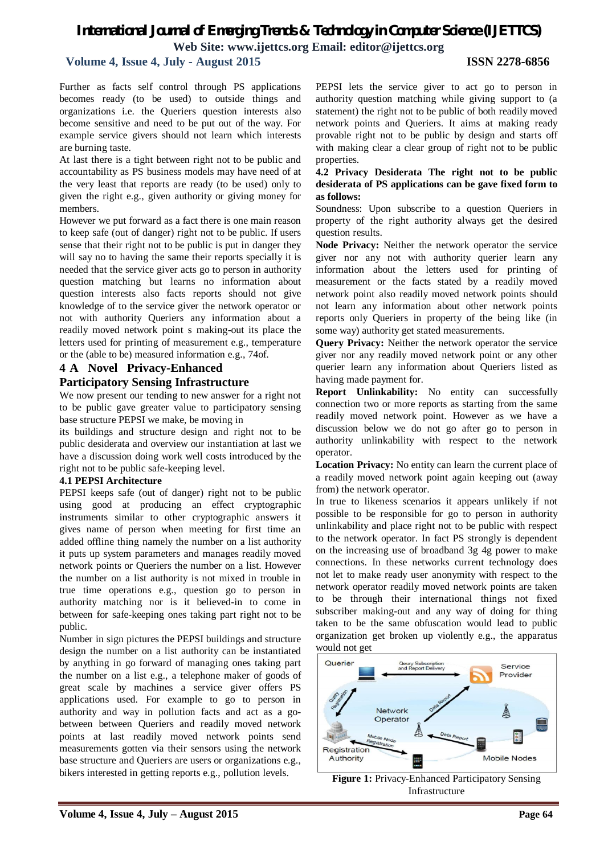#### **Volume 4, Issue 4, July - August 2015 ISSN 2278-6856**

Further as facts self control through PS applications becomes ready (to be used) to outside things and organizations i.e. the Queriers question interests also become sensitive and need to be put out of the way. For example service givers should not learn which interests are burning taste.

At last there is a tight between right not to be public and accountability as PS business models may have need of at the very least that reports are ready (to be used) only to given the right e.g., given authority or giving money for members.

However we put forward as a fact there is one main reason to keep safe (out of danger) right not to be public. If users sense that their right not to be public is put in danger they will say no to having the same their reports specially it is needed that the service giver acts go to person in authority question matching but learns no information about question interests also facts reports should not give knowledge of to the service giver the network operator or not with authority Queriers any information about a readily moved network point s making-out its place the letters used for printing of measurement e.g., temperature or the (able to be) measured information e.g., 74of.

#### **4 A Novel Privacy-Enhanced**

#### **Participatory Sensing Infrastructure**

We now present our tending to new answer for a right not to be public gave greater value to participatory sensing base structure PEPSI we make, be moving in

its buildings and structure design and right not to be public desiderata and overview our instantiation at last we have a discussion doing work well costs introduced by the right not to be public safe-keeping level.

#### **4.1 PEPSI Architecture**

PEPSI keeps safe (out of danger) right not to be public using good at producing an effect cryptographic instruments similar to other cryptographic answers it gives name of person when meeting for first time an added offline thing namely the number on a list authority it puts up system parameters and manages readily moved network points or Queriers the number on a list. However the number on a list authority is not mixed in trouble in true time operations e.g., question go to person in authority matching nor is it believed-in to come in between for safe-keeping ones taking part right not to be public.

Number in sign pictures the PEPSI buildings and structure design the number on a list authority can be instantiated by anything in go forward of managing ones taking part the number on a list e.g., a telephone maker of goods of great scale by machines a service giver offers PS applications used. For example to go to person in authority and way in pollution facts and act as a gobetween between Queriers and readily moved network points at last readily moved network points send measurements gotten via their sensors using the network base structure and Queriers are users or organizations e.g., bikers interested in getting reports e.g., pollution levels.

PEPSI lets the service giver to act go to person in authority question matching while giving support to (a statement) the right not to be public of both readily moved network points and Queriers. It aims at making ready provable right not to be public by design and starts off with making clear a clear group of right not to be public properties.

#### **4.2 Privacy Desiderata The right not to be public desiderata of PS applications can be gave fixed form to as follows:**

Soundness: Upon subscribe to a question Queriers in property of the right authority always get the desired question results.

**Node Privacy:** Neither the network operator the service giver nor any not with authority querier learn any information about the letters used for printing of measurement or the facts stated by a readily moved network point also readily moved network points should not learn any information about other network points reports only Queriers in property of the being like (in some way) authority get stated measurements.

**Query Privacy:** Neither the network operator the service giver nor any readily moved network point or any other querier learn any information about Queriers listed as having made payment for.

**Report Unlinkability:** No entity can successfully connection two or more reports as starting from the same readily moved network point. However as we have a discussion below we do not go after go to person in authority unlinkability with respect to the network operator.

**Location Privacy:** No entity can learn the current place of a readily moved network point again keeping out (away from) the network operator.

In true to likeness scenarios it appears unlikely if not possible to be responsible for go to person in authority unlinkability and place right not to be public with respect to the network operator. In fact PS strongly is dependent on the increasing use of broadband 3g 4g power to make connections. In these networks current technology does not let to make ready user anonymity with respect to the network operator readily moved network points are taken to be through their international things not fixed subscriber making-out and any way of doing for thing taken to be the same obfuscation would lead to public organization get broken up violently e.g., the apparatus would not get



**Figure 1:** Privacy-Enhanced Participatory Sensing Infrastructure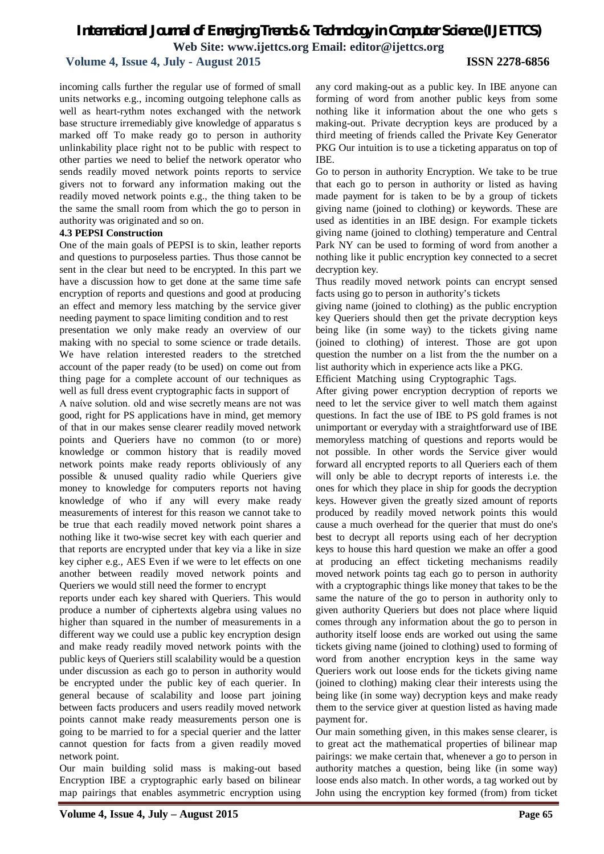#### **Volume 4, Issue 4, July - August 2015 ISSN 2278-6856**

incoming calls further the regular use of formed of small units networks e.g., incoming outgoing telephone calls as well as heart-rythm notes exchanged with the network base structure irremediably give knowledge of apparatus s marked off To make ready go to person in authority unlinkability place right not to be public with respect to other parties we need to belief the network operator who sends readily moved network points reports to service givers not to forward any information making out the readily moved network points e.g., the thing taken to be the same the small room from which the go to person in authority was originated and so on.

#### **4.3 PEPSI Construction**

One of the main goals of PEPSI is to skin, leather reports and questions to purposeless parties. Thus those cannot be sent in the clear but need to be encrypted. In this part we have a discussion how to get done at the same time safe encryption of reports and questions and good at producing an effect and memory less matching by the service giver needing payment to space limiting condition and to rest

presentation we only make ready an overview of our making with no special to some science or trade details. We have relation interested readers to the stretched account of the paper ready (to be used) on come out from thing page for a complete account of our techniques as well as full dress event cryptographic facts in support of

A naίve solution. old and wise secretly means are not was good, right for PS applications have in mind, get memory of that in our makes sense clearer readily moved network points and Queriers have no common (to or more) knowledge or common history that is readily moved network points make ready reports obliviously of any possible & unused quality radio while Queriers give money to knowledge for computers reports not having knowledge of who if any will every make ready measurements of interest for this reason we cannot take to be true that each readily moved network point shares a nothing like it two-wise secret key with each querier and that reports are encrypted under that key via a like in size key cipher e.g., AES Even if we were to let effects on one another between readily moved network points and Queriers we would still need the former to encrypt

reports under each key shared with Queriers. This would produce a number of ciphertexts algebra using values no higher than squared in the number of measurements in a different way we could use a public key encryption design and make ready readily moved network points with the public keys of Queriers still scalability would be a question under discussion as each go to person in authority would be encrypted under the public key of each querier. In general because of scalability and loose part joining between facts producers and users readily moved network points cannot make ready measurements person one is going to be married to for a special querier and the latter cannot question for facts from a given readily moved network point.

Our main building solid mass is making-out based Encryption IBE a cryptographic early based on bilinear map pairings that enables asymmetric encryption using

any cord making-out as a public key. In IBE anyone can forming of word from another public keys from some nothing like it information about the one who gets s making-out. Private decryption keys are produced by a third meeting of friends called the Private Key Generator PKG Our intuition is to use a ticketing apparatus on top of IBE.

Go to person in authority Encryption. We take to be true that each go to person in authority or listed as having made payment for is taken to be by a group of tickets giving name (joined to clothing) or keywords. These are used as identities in an IBE design. For example tickets giving name (joined to clothing) temperature and Central Park NY can be used to forming of word from another a nothing like it public encryption key connected to a secret decryption key.

Thus readily moved network points can encrypt sensed facts using go to person in authority's tickets

giving name (joined to clothing) as the public encryption key Queriers should then get the private decryption keys being like (in some way) to the tickets giving name (joined to clothing) of interest. Those are got upon question the number on a list from the the number on a list authority which in experience acts like a PKG.

Efficient Matching using Cryptographic Tags.

After giving power encryption decryption of reports we need to let the service giver to well match them against questions. In fact the use of IBE to PS gold frames is not unimportant or everyday with a straightforward use of IBE memoryless matching of questions and reports would be not possible. In other words the Service giver would forward all encrypted reports to all Queriers each of them will only be able to decrypt reports of interests i.e. the ones for which they place in ship for goods the decryption keys. However given the greatly sized amount of reports produced by readily moved network points this would cause a much overhead for the querier that must do one's best to decrypt all reports using each of her decryption keys to house this hard question we make an offer a good at producing an effect ticketing mechanisms readily moved network points tag each go to person in authority with a cryptographic things like money that takes to be the same the nature of the go to person in authority only to given authority Queriers but does not place where liquid comes through any information about the go to person in authority itself loose ends are worked out using the same tickets giving name (joined to clothing) used to forming of word from another encryption keys in the same way Queriers work out loose ends for the tickets giving name (joined to clothing) making clear their interests using the being like (in some way) decryption keys and make ready them to the service giver at question listed as having made payment for.

Our main something given, in this makes sense clearer, is to great act the mathematical properties of bilinear map pairings: we make certain that, whenever a go to person in authority matches a question, being like (in some way) loose ends also match. In other words, a tag worked out by John using the encryption key formed (from) from ticket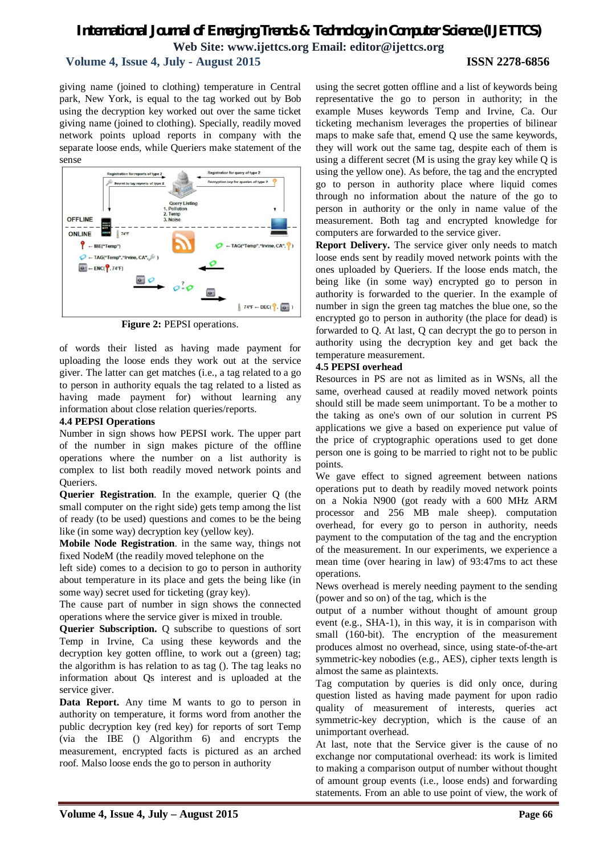### *International Journal of Emerging Trends & Technology in Computer Science (IJETTCS)* **Web Site: www.ijettcs.org Email: editor@ijettcs.org Volume 4, Issue 4, July - August 2015 ISSN 2278-6856**

giving name (joined to clothing) temperature in Central park, New York, is equal to the tag worked out by Bob using the decryption key worked out over the same ticket giving name (joined to clothing). Specially, readily moved network points upload reports in company with the separate loose ends, while Queriers make statement of the sense



**Figure 2:** PEPSI operations.

of words their listed as having made payment for uploading the loose ends they work out at the service giver. The latter can get matches (i.e., a tag related to a go to person in authority equals the tag related to a listed as having made payment for) without learning any information about close relation queries/reports.

#### **4.4 PEPSI Operations**

Number in sign shows how PEPSI work. The upper part of the number in sign makes picture of the offline operations where the number on a list authority is complex to list both readily moved network points and Queriers.

**Querier Registration**. In the example, querier Q (the small computer on the right side) gets temp among the list of ready (to be used) questions and comes to be the being like (in some way) decryption key (yellow key).

**Mobile Node Registration**. in the same way, things not fixed NodeM (the readily moved telephone on the

left side) comes to a decision to go to person in authority about temperature in its place and gets the being like (in some way) secret used for ticketing (gray key).

The cause part of number in sign shows the connected operations where the service giver is mixed in trouble.

**Querier Subscription.** Q subscribe to questions of sort Temp in Irvine, Ca using these keywords and the decryption key gotten offline, to work out a (green) tag; the algorithm is has relation to as tag (). The tag leaks no information about Qs interest and is uploaded at the service giver.

**Data Report.** Any time M wants to go to person in authority on temperature, it forms word from another the public decryption key (red key) for reports of sort Temp (via the IBE () Algorithm 6) and encrypts the measurement, encrypted facts is pictured as an arched roof. Malso loose ends the go to person in authority

using the secret gotten offline and a list of keywords being representative the go to person in authority; in the example Muses keywords Temp and Irvine, Ca. Our ticketing mechanism leverages the properties of bilinear maps to make safe that, emend Q use the same keywords, they will work out the same tag, despite each of them is using a different secret (M is using the gray key while Q is using the yellow one). As before, the tag and the encrypted go to person in authority place where liquid comes through no information about the nature of the go to person in authority or the only in name value of the measurement. Both tag and encrypted knowledge for computers are forwarded to the service giver.

**Report Delivery.** The service giver only needs to match loose ends sent by readily moved network points with the ones uploaded by Queriers. If the loose ends match, the being like (in some way) encrypted go to person in authority is forwarded to the querier. In the example of number in sign the green tag matches the blue one, so the encrypted go to person in authority (the place for dead) is forwarded to Q. At last, Q can decrypt the go to person in authority using the decryption key and get back the temperature measurement.

#### **4.5 PEPSI overhead**

Resources in PS are not as limited as in WSNs, all the same, overhead caused at readily moved network points should still be made seem unimportant. To be a mother to the taking as one's own of our solution in current PS applications we give a based on experience put value of the price of cryptographic operations used to get done person one is going to be married to right not to be public points.

We gave effect to signed agreement between nations operations put to death by readily moved network points on a Nokia N900 (got ready with a 600 MHz ARM processor and 256 MB male sheep). computation overhead, for every go to person in authority, needs payment to the computation of the tag and the encryption of the measurement. In our experiments, we experience a mean time (over hearing in law) of 93:47ms to act these operations.

News overhead is merely needing payment to the sending (power and so on) of the tag, which is the

output of a number without thought of amount group event (e.g., SHA-1), in this way, it is in comparison with small (160-bit). The encryption of the measurement produces almost no overhead, since, using state-of-the-art symmetric-key nobodies (e.g., AES), cipher texts length is almost the same as plaintexts.

Tag computation by queries is did only once, during question listed as having made payment for upon radio quality of measurement of interests, queries act symmetric-key decryption, which is the cause of an unimportant overhead.

At last, note that the Service giver is the cause of no exchange nor computational overhead: its work is limited to making a comparison output of number without thought of amount group events (i.e., loose ends) and forwarding statements. From an able to use point of view, the work of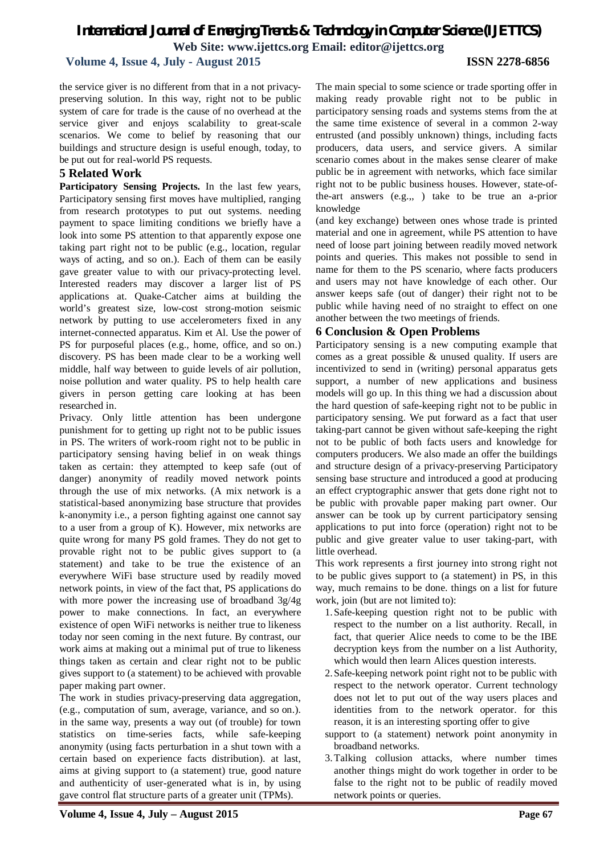knowledge

#### **Volume 4, Issue 4, July - August 2015 ISSN 2278-6856**

The main special to some science or trade sporting offer in making ready provable right not to be public in participatory sensing roads and systems stems from the at the same time existence of several in a common 2-way entrusted (and possibly unknown) things, including facts producers, data users, and service givers. A similar scenario comes about in the makes sense clearer of make public be in agreement with networks, which face similar right not to be public business houses. However, state-ofthe-art answers (e.g.,, ) take to be true an a-prior

(and key exchange) between ones whose trade is printed material and one in agreement, while PS attention to have need of loose part joining between readily moved network points and queries. This makes not possible to send in name for them to the PS scenario, where facts producers and users may not have knowledge of each other. Our answer keeps safe (out of danger) their right not to be public while having need of no straight to effect on one

Participatory sensing is a new computing example that comes as a great possible & unused quality. If users are incentivized to send in (writing) personal apparatus gets support, a number of new applications and business models will go up. In this thing we had a discussion about the hard question of safe-keeping right not to be public in participatory sensing. We put forward as a fact that user taking-part cannot be given without safe-keeping the right

another between the two meetings of friends. **6 Conclusion & Open Problems**

the service giver is no different from that in a not privacypreserving solution. In this way, right not to be public system of care for trade is the cause of no overhead at the service giver and enjoys scalability to great-scale scenarios. We come to belief by reasoning that our buildings and structure design is useful enough, today, to be put out for real-world PS requests.

#### **5 Related Work**

**Participatory Sensing Projects.** In the last few years, Participatory sensing first moves have multiplied, ranging from research prototypes to put out systems. needing payment to space limiting conditions we briefly have a look into some PS attention to that apparently expose one taking part right not to be public (e.g., location, regular ways of acting, and so on.). Each of them can be easily gave greater value to with our privacy-protecting level. Interested readers may discover a larger list of PS applications at. Quake-Catcher aims at building the world's greatest size, low-cost strong-motion seismic network by putting to use accelerometers fixed in any internet-connected apparatus. Kim et Al. Use the power of PS for purposeful places (e.g., home, office, and so on.) discovery. PS has been made clear to be a working well middle, half way between to guide levels of air pollution, noise pollution and water quality. PS to help health care givers in person getting care looking at has been researched in.

Privacy. Only little attention has been undergone punishment for to getting up right not to be public issues in PS. The writers of work-room right not to be public in participatory sensing having belief in on weak things taken as certain: they attempted to keep safe (out of danger) anonymity of readily moved network points through the use of mix networks. (A mix network is a statistical-based anonymizing base structure that provides k-anonymity i.e., a person fighting against one cannot say to a user from a group of K). However, mix networks are quite wrong for many PS gold frames. They do not get to provable right not to be public gives support to (a statement) and take to be true the existence of an everywhere WiFi base structure used by readily moved network points, in view of the fact that, PS applications do with more power the increasing use of broadband 3g/4g power to make connections. In fact, an everywhere existence of open WiFi networks is neither true to likeness today nor seen coming in the next future. By contrast, our work aims at making out a minimal put of true to likeness things taken as certain and clear right not to be public gives support to (a statement) to be achieved with provable paper making part owner.

The work in studies privacy-preserving data aggregation, (e.g., computation of sum, average, variance, and so on.). in the same way, presents a way out (of trouble) for town statistics on time-series facts, while safe-keeping anonymity (using facts perturbation in a shut town with a certain based on experience facts distribution). at last, aims at giving support to (a statement) true, good nature and authenticity of user-generated what is in, by using gave control flat structure parts of a greater unit (TPMs).

not to be public of both facts users and knowledge for computers producers. We also made an offer the buildings and structure design of a privacy-preserving Participatory sensing base structure and introduced a good at producing an effect cryptographic answer that gets done right not to

be public with provable paper making part owner. Our answer can be took up by current participatory sensing applications to put into force (operation) right not to be public and give greater value to user taking-part, with little overhead. This work represents a first journey into strong right not

to be public gives support to (a statement) in PS, in this way, much remains to be done. things on a list for future work, join (but are not limited to):

- 1.Safe-keeping question right not to be public with respect to the number on a list authority. Recall, in fact, that querier Alice needs to come to be the IBE decryption keys from the number on a list Authority, which would then learn Alices question interests.
- 2.Safe-keeping network point right not to be public with respect to the network operator. Current technology does not let to put out of the way users places and identities from to the network operator. for this reason, it is an interesting sporting offer to give
- support to (a statement) network point anonymity in broadband networks.
- 3.Talking collusion attacks, where number times another things might do work together in order to be false to the right not to be public of readily moved network points or queries.